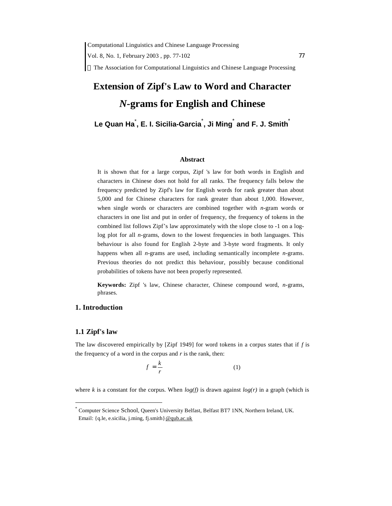Computational Linguistics and Chinese Language Processing

Vol. 8, No. 1, February 2003, pp. 77-102 77

 $\circ$  The Association for Computational Linguistics and Chinese Language Processing

# **Extension of Zipf's Law to Word and Character**  *N***-grams for English and Chinese**

## **Le Quan Ha**\* **, E. I. Sicilia-Garcia**\* **, Ji Ming**\* **and F. J. Smith**\*

#### **Abstract**

It is shown that for a large corpus, Zipf 's law for both words in English and characters in Chinese does not hold for all ranks. The frequency falls below the frequency predicted by Zipf's law for English words for rank greater than about 5,000 and for Chinese characters for rank greater than about 1,000. However, when single words or characters are combined together with *n*-gram words or characters in one list and put in order of frequency, the frequency of tokens in the combined list follows Zipf's law approximately with the slope close to -1 on a loglog plot for all *n*-grams, down to the lowest frequencies in both languages. This behaviour is also found for English 2-byte and 3-byte word fragments. It only happens when all *n*-grams are used, including semantically incomplete *n*-grams. Previous theories do not predict this behaviour, possibly because conditional probabilities of tokens have not been properly represented.

**Keywords:** Zipf 's law, Chinese character, Chinese compound word, *n*-grams, phrases.

## **1. Introduction**

#### **1.1 Zipf's law**

 $\overline{a}$ 

The law discovered empirically by [Zipf 1949] for word tokens in a corpus states that if *f* is the frequency of a word in the corpus and *r* is the rank, then:

$$
f = \frac{k}{r} \tag{1}
$$

where *k* is a constant for the corpus. When  $log(f)$  is drawn against  $log(r)$  in a graph (which is

<sup>\*</sup> Computer Science School, Queen's University Belfast, Belfast BT7 1NN, Northern Ireland, UK. Email: {q.le, e.sicilia, j.ming, fj.smith}[@qub.ac.uk](mailto:@qub.ac.uk)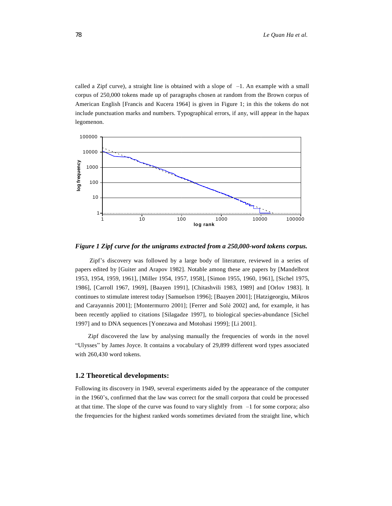called a Zipf curve), a straight line is obtained with a slope of  $-1$ . An example with a small corpus of 250,000 tokens made up of paragraphs chosen at random from the Brown corpus of American English [Francis and Kucera 1964] is given in Figure 1; in this the tokens do not include punctuation marks and numbers. Typographical errors, if any, will appear in the hapax legomenon.



*Figure 1 Zipf curve for the unigrams extracted from a 250,000-word tokens corpus.*

 Zipf's discovery was followed by a large body of literature, reviewed in a series of papers edited by [Guiter and Arapov 1982]. Notable among these are papers by [Mandelbrot 1953, 1954, 1959, 1961], [Miller 1954, 1957, 1958], [Simon 1955, 1960, 1961], [Sichel 1975, 1986], [Carroll 1967, 1969], [Baayen 1991], [Chitashvili 1983, 1989] and [Orlov 1983]. It continues to stimulate interest today [Samuelson 1996]; [Baayen 2001]; [Hatzigeorgiu, Mikros and Carayannis 2001]; [Montermurro 2001]; [Ferrer and Solé 2002] and, for example, it has been recently applied to citations [Silagadze 1997], to biological species-abundance [Sichel 1997] and to DNA sequences [Yonezawa and Motohasi 1999]; [Li 2001].

Zipf discovered the law by analysing manually the frequencies of words in the novel "Ulysses" by James Joyce. It contains a vocabulary of 29,899 different word types associated with 260,430 word tokens.

#### **1.2 Theoretical developments:**

Following its discovery in 1949, several experiments aided by the appearance of the computer in the 1960's, confirmed that the law was correct for the small corpora that could be processed at that time. The slope of the curve was found to vary slightly from –1 for some corpora; also the frequencies for the highest ranked words sometimes deviated from the straight line, which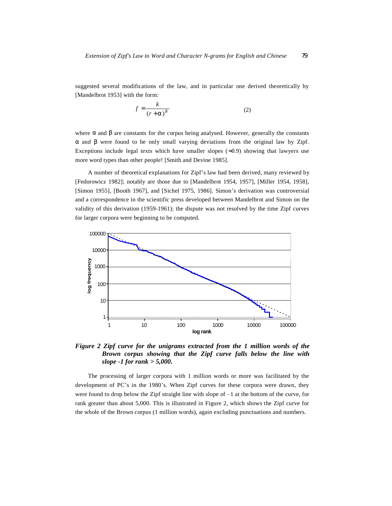suggested several modifications of the law, and in particular one derived theoretically by [Mandelbrot 1953] with the form:

$$
f = \frac{k}{(r+a)^b} \tag{2}
$$

where  $\alpha$  and  $\beta$  are constants for the corpus being analysed. However, generally the constants α and β were found to be only small varying deviations from the original law by Zipf. Exceptions include legal texts which have smaller slopes ( $\approx 0.9$ ) showing that lawyers use more word types than other people! [Smith and Devine 1985].

A number of theoretical explanations for Zipf's law had been derived, many reviewed by [Fedorowicz 1982]; notably are those due to [Mandelbrot 1954, 1957], [Miller 1954, 1958], [Simon 1955], [Booth 1967], and [Sichel 1975, 1986]. Simon's derivation was controversial and a correspondence in the scientific press developed between Mandelbrot and Simon on the validity of this derivation (1959-1961); the dispute was not resolved by the time Zipf curves for larger corpora were beginning to be computed.



*Figure 2 Zipf curve for the unigrams extracted from the 1 million words of the Brown corpus showing that the Zipf curve falls below the line with slope -1 for rank > 5,000.* 

The processing of larger corpora with 1 million words or more was facilitated by the development of PC's in the 1980's. When Zipf curves for these corpora were drawn, they were found to drop below the Zipf straight line with slope of  $-1$  at the bottom of the curve, for rank greater than about 5,000. This is illustrated in Figure 2, which shows the Zipf curve for the whole of the Brown corpus (1 million words), again excluding punctuations and numbers.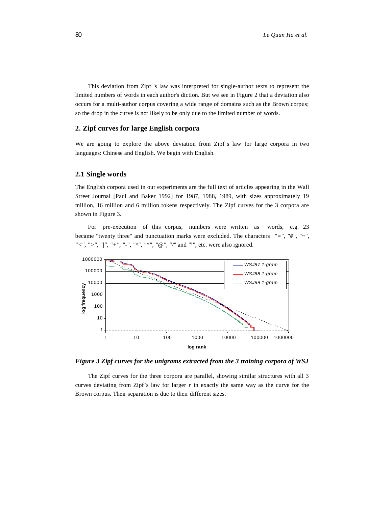This deviation from Zipf 's law was interpreted for single-author texts to represent the limited numbers of words in each author's diction. But we see in Figure 2 that a deviation also occurs for a multi-author corpus covering a wide range of domains such as the Brown corpus; so the drop in the curve is not likely to be only due to the limited number of words.

## **2. Zipf curves for large English corpora**

We are going to explore the above deviation from Zipf's law for large corpora in two languages: Chinese and English. We begin with English.

#### **2.1 Single words**

The English corpora used in our experiments are the full text of articles appearing in the Wall Street Journal [Paul and Baker 1992] for 1987, 1988, 1989, with sizes approximately 19 million, 16 million and 6 million tokens respectively. The Zipf curves for the 3 corpora are shown in Figure 3.

For pre-execution of this corpus, numbers were written as words, e.g. 23 became "twenty three" and punctuation marks were excluded. The characters *"=", "#", "~", "<", ">", "|", "+", "-", "^", "\*", "@", "/"* and *"\"*, etc. were also ignored.



*Figure 3 Zipf curves for the unigrams extracted from the 3 training corpora of WSJ* 

The Zipf curves for the three corpora are parallel, showing similar structures with all 3 curves deviating from Zipf's law for larger *r* in exactly the same way as the curve for the Brown corpus. Their separation is due to their different sizes.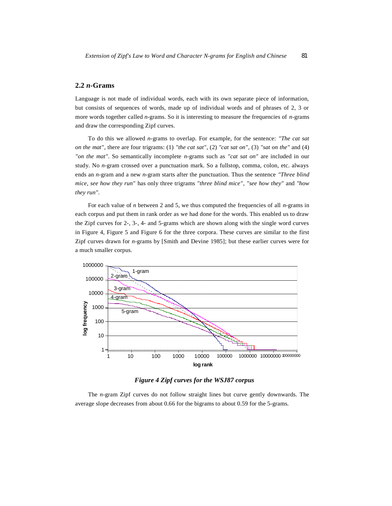#### **2.2** *n***-Grams**

Language is not made of individual words, each with its own separate piece of information, but consists of sequences of words, made up of individual words and of phrases of 2, 3 or more words together called *n*-grams. So it is interesting to measure the frequencies of *n*-grams and draw the corresponding Zipf curves.

To do this we allowed *n*-grams to overlap. For example, for the sentence: *"The cat sat on the mat"*, there are four trigrams: (1) *"the cat sat"*, (2) *"cat sat on"*, (3) *"sat on the"* and (4) *"on the mat"*. So semantically incomplete *n*-grams such as *"cat sat on"* are included in our study. No *n*-gram crossed over a punctuation mark. So a fullstop, comma, colon, etc. always ends an *n*-gram and a new *n*-gram starts after the punctuation. Thus the sentence *"Three blind mice, see how they run"* has only three trigrams *"three blind mice"*, *"see how they"* and *"how they run"*.

For each value of *n* between 2 and 5, we thus computed the frequencies of all *n*-grams in each corpus and put them in rank order as we had done for the words. This enabled us to draw the Zipf curves for 2-, 3-, 4- and 5-grams which are shown along with the single word curves in Figure 4, Figure 5 and Figure 6 for the three corpora. These curves are similar to the first Zipf curves drawn for *n*-grams by [Smith and Devine 1985]; but these earlier curves were for a much smaller corpus.



*Figure 4 Zipf curves for the WSJ87 corpus* 

The *n*-gram Zipf curves do not follow straight lines but curve gently downwards. The average slope decreases from about 0.66 for the bigrams to about 0.59 for the 5-grams.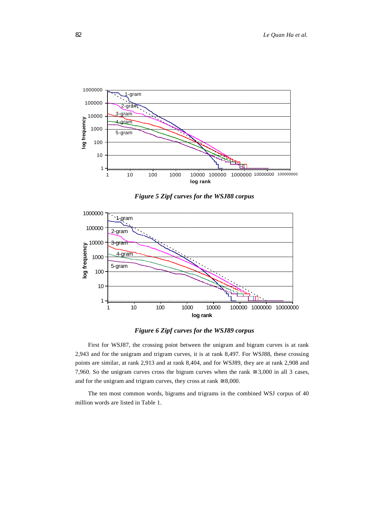

*Figure 5 Zipf curves for the WSJ88 corpus* 





First for WSJ87, the crossing point between the unigram and bigram curves is at rank 2,943 and for the unigram and trigram curves, it is at rank 8,497. For WSJ88, these crossing points are similar, at rank 2,913 and at rank 8,404, and for WSJ89, they are at rank 2,908 and 7,960. So the unigram curves cross the bigram curves when the rank  $\approx 3,000$  in all 3 cases, and for the unigram and trigram curves, they cross at rank  $\approx 8,000$ .

The ten most common words, bigrams and trigrams in the combined WSJ corpus of 40 million words are listed in Table 1.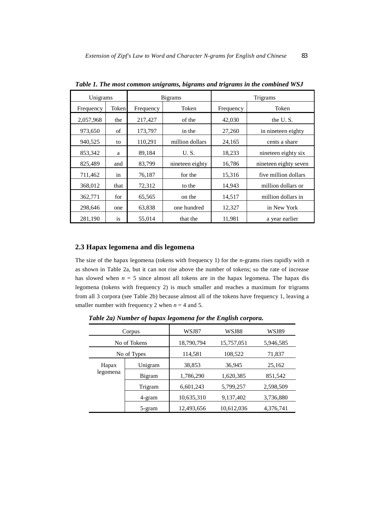| Unigrams  |       |           | <b>B</b> igrams | Trigrams  |                       |  |
|-----------|-------|-----------|-----------------|-----------|-----------------------|--|
| Frequency | Token | Frequency | Token           | Frequency | Token                 |  |
| 2,057,968 | the   | 217,427   | of the          | 42,030    | the U.S.              |  |
| 973,650   | of    | 173,797   | in the          | 27,260    | in nineteen eighty    |  |
| 940,525   | to    | 110,291   | million dollars | 24,165    | cents a share         |  |
| 853,342   | a     | 89,184    | U.S.            | 18,233    | nineteen eighty six   |  |
| 825,489   | and   | 83,799    | nineteen eighty | 16,786    | nineteen eighty seven |  |
| 711,462   | in    | 76,187    | for the         | 15,316    | five million dollars  |  |
| 368,012   | that  | 72,312    | to the          | 14.943    | million dollars or    |  |
| 362,771   | for   | 65.565    | on the          | 14,517    | million dollars in    |  |
| 298,646   | one   | 63,838    | one hundred     | 12,327    | in New York           |  |
| 281,190   | is    | 55,014    | that the        | 11,981    | a year earlier        |  |

*Table 1. The most common unigrams, bigrams and trigrams in the combined WSJ* 

## **2.3 Hapax legomena and dis legomena**

The size of the hapax legomena (tokens with frequency 1) for the *n*-grams rises rapidly with *n* as shown in Table 2a, but it can not rise above the number of tokens; so the rate of increase has slowed when  $n = 5$  since almost all tokens are in the hapax legomena. The hapax dis legomena (tokens with frequency 2) is much smaller and reaches a maximum for trigrams from all 3 corpora (see Table 2b) because almost all of the tokens have frequency 1, leaving a smaller number with frequency 2 when  $n = 4$  and 5.

*Table 2a) Number of hapax legomena for the English corpora.* 

| Corpus      |               | WSJ87      | WSJ88      | WSJ89     |
|-------------|---------------|------------|------------|-----------|
|             | No of Tokens  | 18,790,794 | 15,757,051 | 5,946,585 |
| No of Types |               | 114,581    | 108,522    | 71,837    |
| Hapax       | Unigram       | 38,853     | 36,945     | 25,162    |
| legomena    | <b>Bigram</b> | 1,786,290  | 1,620,385  | 851,542   |
|             | Trigram       | 6,601,243  | 5,799,257  | 2,598,509 |
|             | 4-gram        | 10,635,310 | 9,137,402  | 3,736,880 |
|             | 5-gram        | 12,493,656 | 10,612,036 | 4,376,741 |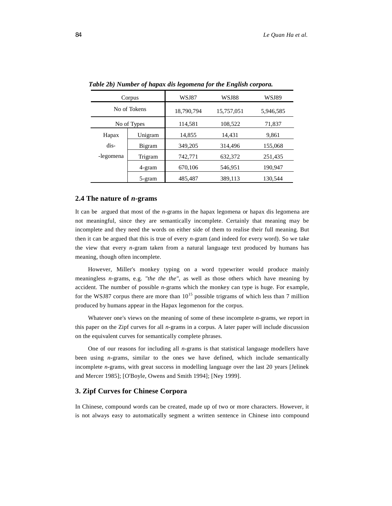|             | Corpus       | WSJ87      | WSJ88      | WSJ89     |
|-------------|--------------|------------|------------|-----------|
|             | No of Tokens | 18,790,794 | 15,757,051 | 5,946,585 |
| No of Types |              | 114,581    | 108,522    | 71,837    |
| Hapax       | Unigram      | 14,855     | 14,431     | 9,861     |
| dis-        | Bigram       | 349,205    | 314,496    | 155,068   |
| -legomena   | Trigram      | 742,771    | 632,372    | 251,435   |
|             | 4-gram       | 670,106    | 546,951    | 190,947   |
|             | 5-gram       | 485,487    | 389,113    | 130,544   |

*Table 2b) Number of hapax dis legomena for the English corpora.* 

#### **2.4 The nature of** *n***-grams**

It can be argued that most of the *n*-grams in the hapax legomena or hapax dis legomena are not meaningful, since they are semantically incomplete. Certainly that meaning may be incomplete and they need the words on either side of them to realise their full meaning. But then it can be argued that this is true of every *n*-gram (and indeed for every word). So we take the view that every *n*-gram taken from a natural language text produced by humans has meaning, though often incomplete.

However, Miller's monkey typing on a word typewriter would produce mainly meaningless *n*-grams, e.g. *"the the the"*, as well as those others which have meaning by accident. The number of possible *n*-grams which the monkey can type is huge. For example, for the WSJ87 corpus there are more than  $10^{15}$  possible trigrams of which less than 7 million produced by humans appear in the Hapax legomenon for the corpus.

Whatever one's views on the meaning of some of these incomplete *n*-grams, we report in this paper on the Zipf curves for all *n*-grams in a corpus. A later paper will include discussion on the equivalent curves for semantically complete phrases.

One of our reasons for including all *n*-grams is that statistical language modellers have been using *n*-grams, similar to the ones we have defined, which include semantically incomplete *n*-grams, with great success in modelling language over the last 20 years [Jelinek and Mercer 1985]; [O'Boyle, Owens and Smith 1994]; [Ney 1999].

### **3. Zipf Curves for Chinese Corpora**

In Chinese, compound words can be created, made up of two or more characters. However, it is not always easy to automatically segment a written sentence in Chinese into compound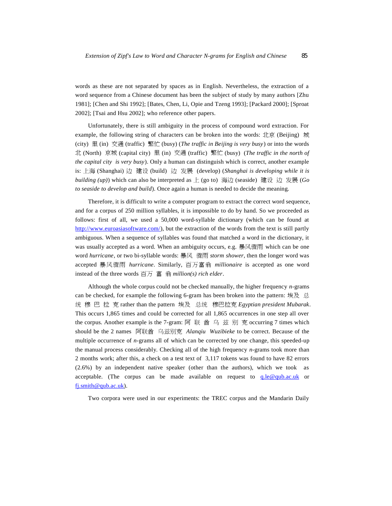words as these are not separated by spaces as in English. Nevertheless, the extraction of a word sequence from a Chinese document has been the subject of study by many authors [Zhu 1981]; [Chen and Shi 1992]; [Bates, Chen, Li, Opie and Tzeng 1993]; [Packard 2000]; [Sproat 2002]; [Tsai and Hsu 2002]; who reference other papers.

Unfortunately, there is still ambiguity in the process of compound word extraction. For example, the following string of characters can be broken into the words: 北京 (Beijing) 城 (city) 里 (in) 交通 (traffic) 繁忙 (busy) (*The traffic in Beijing is very busy*) or into the words 北 (North) 京城 (capital city) 里 (in) 交通 (traffic) 繁忙 (busy) (*The traffic in the north of the capital city is very busy*). Only a human can distinguish which is correct, another example is: 上海 (Shanghai) 边 建设 (build) 边 发展 (develop) (*Shanghai is developing while it is building (up)*) which can also be interpreted as 上 (go to) 海边 (seaside) 建设 边 发展 (*Go to seaside to develop and build*). Once again a human is needed to decide the meaning.

Therefore, it is difficult to write a computer program to extract the correct word sequence, and for a corpus of 250 million syllables, it is impossible to do by hand. So we proceeded as follows: first of all, we used a 50,000 word-syllable dictionary (which can be found at <http://www.euroasiasoftware.com/>), but the extraction of the words from the text is still partly ambiguous. When a sequence of syllables was found that matched a word in the dictionary, it was usually accepted as a word. When an ambiguity occurs, e.g. 暴风骤雨 which can be one word *hurricane*, or two bi-syllable words: 暴风 骤雨 *storm shower*, then the longer word was accepted 暴风骤雨 *hurricane*. Similarly, 百万富翁 *millionaire* is accepted as one word instead of the three words 百万 富 翁 *million(s) rich elder*.

Although the whole corpus could not be checked manually, the higher frequency *n*-grams can be checked, for example the following 6-gram has been broken into the pattern: 埃及 总 统 穆 巴 拉 克 rather than the pattern 埃及 总统 穆巴拉克 *Egyptian president Mubarak*. This occurs 1,865 times and could be corrected for all 1,865 occurrences in one step all over the corpus. Another example is the 7-gram: 阿 联 酋 乌 兹 别 克 occurring 7 times which should be the 2 names 阿联酋 乌兹别克 *Alanqiu Wuzibieke* to be correct. Because of the multiple occurrence of *n*-grams all of which can be corrected by one change, this speeded-up the manual process considerably. Checking all of the high frequency *n*-grams took more than 2 months work; after this, a check on a test text of 3,117 tokens was found to have 82 errors (2.6%) by an independent native speaker (other than the authors), which we took as acceptable. (The corpus can be made available on request to  $q$ ,  $leq$   $q$ ,  $q$ ,  $q$ ,  $q$ ) or [fj.smith@qub.ac.uk](mailto:fj.smith@qub.ac.uk)).

Two corpora were used in our experiments: the TREC corpus and the Mandarin Daily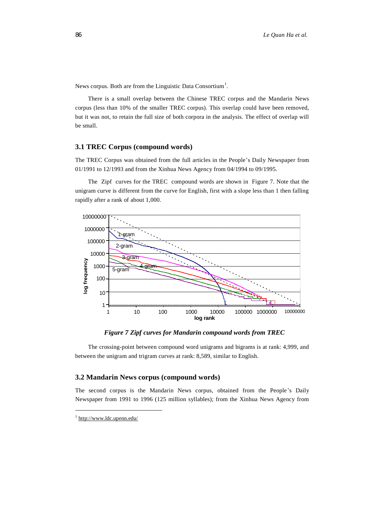News corpus. Both are from the Linguistic Data Consortium<sup>1</sup>.

There is a small overlap between the Chinese TREC corpus and the Mandarin News corpus (less than 10% of the smaller TREC corpus). This overlap could have been removed, but it was not, to retain the full size of both corpora in the analysis. The effect of overlap will be small.

## **3.1 TREC Corpus (compound words)**

The TREC Corpus was obtained from the full articles in the People's Daily Newspaper from 01/1991 to 12/1993 and from the Xinhua News Agency from 04/1994 to 09/1995.

The Zipf curves for the TREC compound words are shown in Figure 7. Note that the unigram curve is different from the curve for English, first with a slope less than 1 then falling rapidly after a rank of about 1,000.



*Figure 7 Zipf curves for Mandarin compound words from TREC* 

The crossing-point between compound word unigrams and bigrams is at rank: 4,999, and between the unigram and trigram curves at rank: 8,589, similar to English.

## **3.2 Mandarin News corpus (compound words)**

The second corpus is the Mandarin News corpus, obtained from the People's Daily Newspaper from 1991 to 1996 (125 million syllables); from the Xinhua News Agency from

 $\overline{a}$ 

<sup>&</sup>lt;sup>1</sup> <http://www.ldc.upenn.edu/>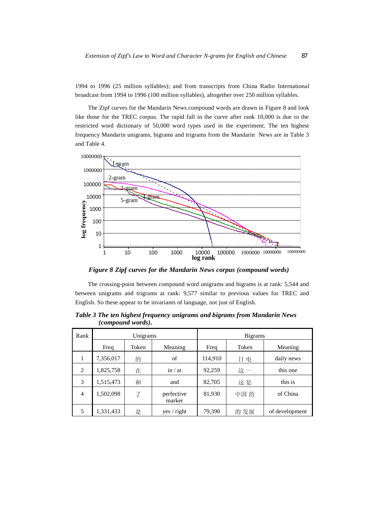1994 to 1996 (25 million syllables); and from transcripts from China Radio International broadcast from 1994 to 1996 (100 million syllables), altogether over 250 million syllables.

The Zipf curves for the Mandarin News compound words are drawn in Figure 8 and look like those for the TREC corpus. The rapid fall in the curve after rank 10,000 is due to the restricted word dictionary of 50,000 word types used in the experiment. The ten highest frequency Mandarin unigrams, bigrams and trigrams from the Mandarin News are in Table 3 and Table 4.



*Figure 8 Zipf curves for the Mandarin News corpus (compound words)* 

The crossing-point between compound word unigrams and bigrams is at rank: 5,544 and between unigrams and trigrams at rank: 9,577 similar to previous values for TREC and English. So these appear to be invariants of language, not just of English.

| Rank           | Unigrams  |       |                      |         | <b>Bigrams</b> |                |
|----------------|-----------|-------|----------------------|---------|----------------|----------------|
|                | Freq      | Token | Meaning              | Freq    | Token          | Meaning        |
| 1              | 7,356,017 | 的     | of                   | 114,910 | 电<br>Η         | daily news     |
| 2              | 1,825,758 | 在     | in / at              | 92,259  | 这一             | this one       |
| 3              | 1,515,473 | 和     | and                  | 82,705  | 这是             | this is        |
| $\overline{4}$ | 1,502,098 | 了     | perfective<br>marker | 81,930  | 中国的            | of China       |
| 5              | 1,331,433 | 是     | yes / right          | 79,390  | 的 发展           | of development |

*Table 3 The ten highest frequency unigrams and bigrams from Mandarin News (compound words).*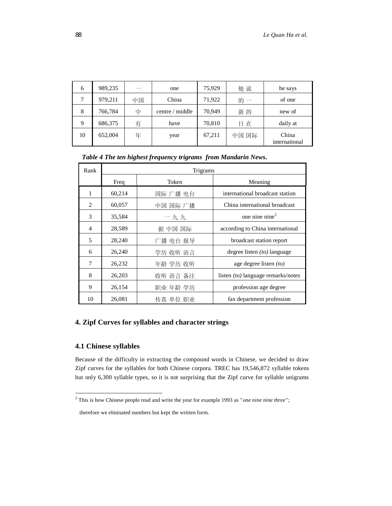| 6  | 989,235 | $-$ | one             | 75,929 | 他说    | he says                |
|----|---------|-----|-----------------|--------|-------|------------------------|
|    | 979,211 | 中国  | China           | 71,922 | 的一    | of one                 |
| 8  | 766,784 | 中   | centre / middle | 70,949 | 新的    | new of                 |
| 9  | 686,375 | 有   | have            | 70,810 | 日在    | daily at               |
| 10 | 652,004 | 年   | year            | 67,211 | 中国 国际 | China<br>international |

*Table 4 The ten highest frequency trigrams from Mandarin News.* 

| Rank           | Trigrams |          |                                           |  |  |  |  |
|----------------|----------|----------|-------------------------------------------|--|--|--|--|
|                | Freq     | Token    | Meaning                                   |  |  |  |  |
| 1              | 60,214   | 国际 广播 电台 | international broadcast station           |  |  |  |  |
| $\mathfrak{D}$ | 60,057   | 中国 国际 广播 | China international broadcast             |  |  |  |  |
| 3              | 35,584   | 一九九      | one nine nine $2$                         |  |  |  |  |
| 4              | 28,589   | 据 中国 国际  | according to China international          |  |  |  |  |
| 5              | 28,240   | 广播 电台 报导 | broadcast station report                  |  |  |  |  |
| 6              | 26,240   | 学历 收听 语言 | degree listen $(10)$ language             |  |  |  |  |
| 7              | 26,232   | 年龄 学历 收听 | age degree listen $(to)$                  |  |  |  |  |
| 8              | 26,203   | 收听 语言 备注 | listen <i>(to)</i> language remarks/notes |  |  |  |  |
| 9              | 26,154   | 职业 年龄 学历 | profession age degree                     |  |  |  |  |
| 10             | 26,081   | 传真 单位 职业 | fax department profession                 |  |  |  |  |

## **4. Zipf Curves for syllables and character strings**

## **4.1 Chinese syllables**

 $\overline{a}$ 

Because of the difficulty in extracting the compound words in Chinese, we decided to draw Zipf curves for the syllables for both Chinese corpora. TREC has 19,546,872 syllable tokens but only 6,300 syllable types, so it is not surprising that the Zipf curve for syllable unigrams

This is how Chinese people read and write the year for example 1993 as "*one nine nine three*";

therefore we elminated numbers but kept the written form.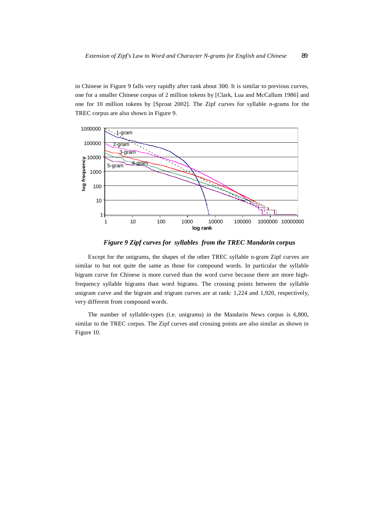in Chinese in Figure 9 falls very rapidly after rank about 300. It is similar to previous curves, one for a smaller Chinese corpus of 2 million tokens by [Clark, Lua and McCallum 1986] and one for 10 million tokens by [Sproat 2002]. The Zipf curves for syllable *n*-grams for the TREC corpus are also shown in Figure 9.



*Figure 9 Zipf curves for syllables from the TREC Mandarin corpus* 

Except for the unigrams, the shapes of the other TREC syllable n-gram Zipf curves are similar to but not quite the same as those for compound words. In particular the syllable bigram curve for Chinese is more curved than the word curve because there are more highfrequency syllable bigrams than word bigrams. The crossing points between the syllable unigram curve and the bigram and trigram curves are at rank: 1,224 and 1,920, respectively, very different from compound words.

The number of syllable-types (i.e. unigrams) in the Mandarin News corpus is 6,800, similar to the TREC corpus. The Zipf curves and crossing points are also similar as shown in Figure 10.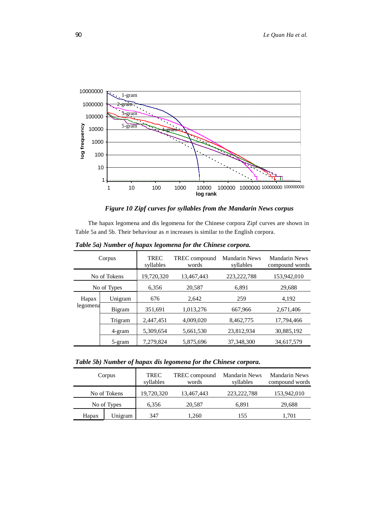

## *Figure 10 Zipf curves for syllables from the Mandarin News corpus*

The hapax legomena and dis legomena for the Chinese corpora Zipf curves are shown in Table 5a and 5b. Their behaviour as *n* increases is similar to the English corpora.

| Corpus       |             | <b>TREC</b><br>syllables | TREC compound<br>words | Mandarin News<br>syllables | <b>Mandarin News</b><br>compound words |
|--------------|-------------|--------------------------|------------------------|----------------------------|----------------------------------------|
| No of Tokens |             | 19,720,320               | 13,467,443             | 223, 222, 788              | 153,942,010                            |
|              | No of Types | 6,356                    | 20,587                 | 6.891                      | 29,688                                 |
| Hapax        | Unigram     | 676                      | 2.642                  | 259                        | 4,192                                  |
| legomena     | Bigram      | 351,691                  | 1,013,276              | 667,966                    | 2,671,406                              |
|              | Trigram     | 2,447,451                | 4,009,020              | 8,462,775                  | 17,794,466                             |
|              | 4-gram      | 5,309,654                | 5,661,530              | 23,812,934                 | 30,885,192                             |
|              | 5-gram      | 7,279,824                | 5,875,696              | 37, 348, 300               | 34,617,579                             |

*Table 5a) Number of hapax legomena for the Chinese corpora.* 

*Table 5b) Number of hapax dis legomena for the Chinese corpora.* 

| Corpus |              | <b>TREC</b><br>syllables | TREC compound<br>words | <b>Mandarin News</b><br>syllables | Mandarin News<br>compound words |
|--------|--------------|--------------------------|------------------------|-----------------------------------|---------------------------------|
|        | No of Tokens | 19,720,320               | 13,467,443             | 223, 222, 788                     | 153,942,010                     |
|        | No of Types  | 6,356                    | 20,587                 | 6,891                             | 29,688                          |
| Hapax  | Unigram      | 347                      | 1,260                  | 155                               | 1,701                           |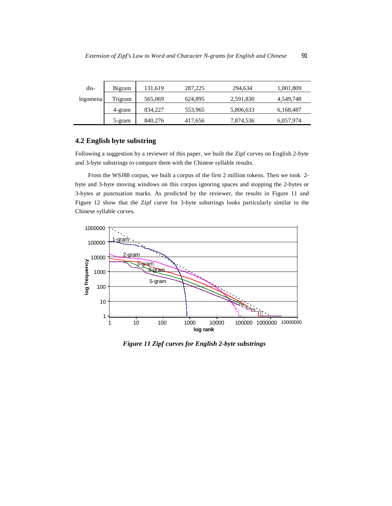| dis-     | Bigram  | 131.619 | 287,225 | 294.634   | 1,001,809 |
|----------|---------|---------|---------|-----------|-----------|
| legomena | Trigram | 565,069 | 624,895 | 2,591,830 | 4,549,748 |
|          | 4-gram  | 834,227 | 553,965 | 5,806,633 | 6,168,487 |
|          | 5-gram  | 840,276 | 417,656 | 7,874,536 | 6,057,974 |

## **4.2 English byte substring**

Following a suggestion by a reviewer of this paper, we built the Zipf curves on English 2-byte and 3-byte substrings to compare them with the Chinese syllable results.

From the WSJ88 corpus, we built a corpus of the first 2 million tokens. Then we took 2 byte and 3-byte moving windows on this corpus ignoring spaces and stopping the 2-bytes or 3-bytes at punctuation marks. As predicted by the reviewer, the results in Figure 11 and Figure 12 show that the Zipf curve for 3-byte substrings looks particularly similar to the Chinese syllable curves.



*Figure 11 Zipf curves for English 2-byte substrings*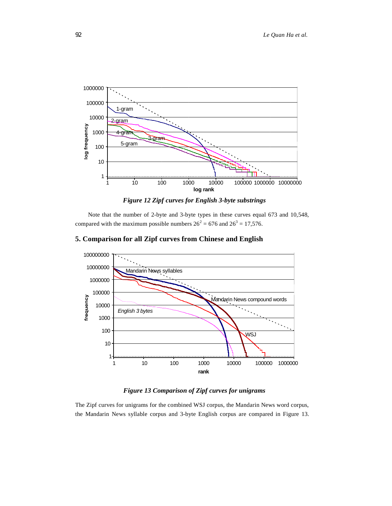

*Figure 12 Zipf curves for English 3-byte substrings* 

Note that the number of 2-byte and 3-byte types in these curves equal 673 and 10,548, compared with the maximum possible numbers  $26^2 = 676$  and  $26^3 = 17,576$ .

## 100000000 10000000 Mandarin News syllables 1000000 100000 frequency Mandarin News compound words 10000 *English 3 bytes* 1000 100 WSJ 10

## **5. Comparison for all Zipf curves from Chinese and English**

 $1<sub>1</sub>$ 

## *Figure 13 Comparison of Zipf curves for unigrams*

**rank**

1 10 100 1000 10000 100000 1000000

The Zipf curves for unigrams for the combined WSJ corpus, the Mandarin News word corpus, the Mandarin News syllable corpus and 3-byte English corpus are compared in Figure 13.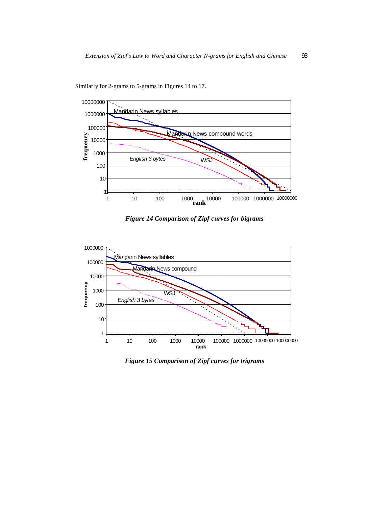

Similarly for 2-grams to 5-grams in Figures 14 to 17.

*Figure 14 Comparison of Zipf curves for bigrams* 



*Figure 15 Comparison of Zipf curves for trigrams*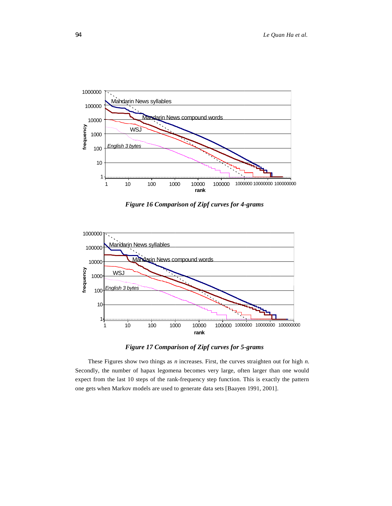

*Figure 16 Comparison of Zipf curves for 4-grams* 



*Figure 17 Comparison of Zipf curves for 5-grams* 

These Figures show two things as *n* increases. First, the curves straighten out for high *n*. Secondly, the number of hapax legomena becomes very large, often larger than one would expect from the last 10 steps of the rank-frequency step function. This is exactly the pattern one gets when Markov models are used to generate data sets [Baayen 1991, 2001].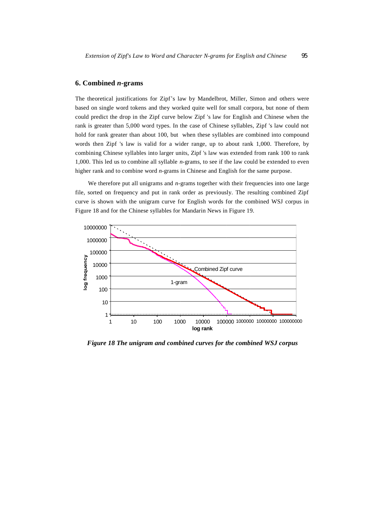## **6. Combined** *n***-grams**

The theoretical justifications for Zipf's law by Mandelbrot, Miller, Simon and others were based on single word tokens and they worked quite well for small corpora, but none of them could predict the drop in the Zipf curve below Zipf 's law for English and Chinese when the rank is greater than 5,000 word types. In the case of Chinese syllables, Zipf 's law could not hold for rank greater than about 100, but when these syllables are combined into compound words then Zipf 's law is valid for a wider range, up to about rank 1,000. Therefore, by combining Chinese syllables into larger units, Zipf 's law was extended from rank 100 to rank 1,000. This led us to combine all syllable *n*-grams, to see if the law could be extended to even higher rank and to combine word *n*-grams in Chinese and English for the same purpose.

We therefore put all unigrams and *n*-grams together with their frequencies into one large file, sorted on frequency and put in rank order as previously. The resulting combined Zipf curve is shown with the unigram curve for English words for the combined WSJ corpus in Figure 18 and for the Chinese syllables for Mandarin News in Figure 19.



*Figure 18 The unigram and combined curves for the combined WSJ corpus*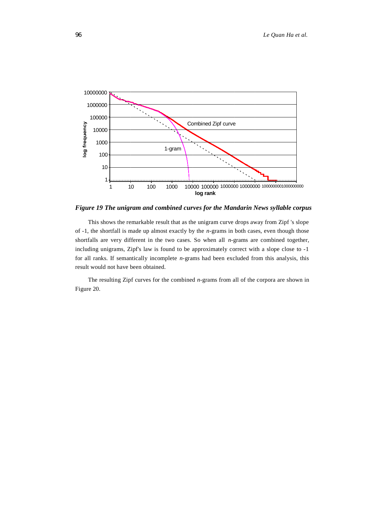

*Figure 19 The unigram and combined curves for the Mandarin News syllable corpus* 

This shows the remarkable result that as the unigram curve drops away from Zipf 's slope of -1, the shortfall is made up almost exactly by the *n*-grams in both cases, even though those shortfalls are very different in the two cases. So when all *n*-grams are combined together, including unigrams, Zipf's law is found to be approximately correct with a slope close to -1 for all ranks. If semantically incomplete *n*-grams had been excluded from this analysis, this result would not have been obtained.

The resulting Zipf curves for the combined *n*-grams from all of the corpora are shown in Figure 20.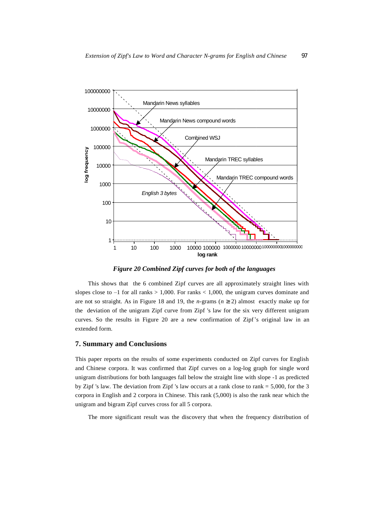

*Figure 20 Combined Zipf curves for both of the languages* 

This shows that the 6 combined Zipf curves are all approximately straight lines with slopes close to  $-1$  for all ranks  $> 1,000$ . For ranks  $< 1,000$ , the unigram curves dominate and are not so straight. As in Figure 18 and 19, the *n*-grams ( $n \ge 2$ ) almost exactly make up for the deviation of the unigram Zipf curve from Zipf 's law for the six very different unigram curves. So the results in Figure 20 are a new confirmation of Zipf's original law in an extended form.

#### **7. Summary and Conclusions**

This paper reports on the results of some experiments conducted on Zipf curves for English and Chinese corpora. It was confirmed that Zipf curves on a log-log graph for single word unigram distributions for both languages fall below the straight line with slope -1 as predicted by Zipf 's law. The deviation from Zipf 's law occurs at a rank close to rank  $= 5,000$ , for the 3 corpora in English and 2 corpora in Chinese. This rank (5,000) is also the rank near which the unigram and bigram Zipf curves cross for all 5 corpora.

The more significant result was the discovery that when the frequency distribution of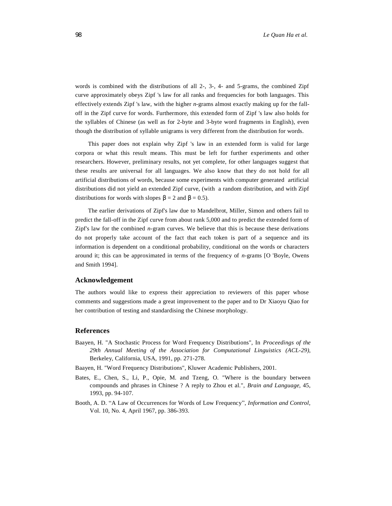words is combined with the distributions of all 2-, 3-, 4- and 5-grams, the combined Zipf curve approximately obeys Zipf 's law for all ranks and frequencies for both languages. This effectively extends Zipf 's law, with the higher *n*-grams almost exactly making up for the falloff in the Zipf curve for words. Furthermore, this extended form of Zipf 's law also holds for the syllables of Chinese (as well as for 2-byte and 3-byte word fragments in English), even though the distribution of syllable unigrams is very different from the distribution for words.

This paper does not explain why Zipf 's law in an extended form is valid for large corpora or what this result means. This must be left for further experiments and other researchers. However, preliminary results, not yet complete, for other languages suggest that these results are universal for all languages. We also know that they do not hold for all artificial distributions of words, because some experiments with computer generated artificial distributions did not yield an extended Zipf curve, (with a random distribution, and with Zipf distributions for words with slopes  $\beta = 2$  and  $\beta = 0.5$ .

The earlier derivations of Zipf's law due to Mandelbrot, Miller, Simon and others fail to predict the fall-off in the Zipf curve from about rank 5,000 and to predict the extended form of Zipf's law for the combined *n*-gram curves. We believe that this is because these derivations do not properly take account of the fact that each token is part of a sequence and its information is dependent on a conditional probability, conditional on the words or characters around it; this can be approximated in terms of the frequency of *n*-grams [O 'Boyle, Owens and Smith 1994].

#### **Acknowledgement**

The authors would like to express their appreciation to reviewers of this paper whose comments and suggestions made a great improvement to the paper and to Dr Xiaoyu Qiao for her contribution of testing and standardising the Chinese morphology.

#### **References**

- Baayen, H. "A Stochastic Process for Word Frequency Distributions", In *Proceedings of the 29th Annual Meeting of the Association for Computational Linguistics (ACL-29)*, Berkeley, California, USA, 1991, pp. 271-278.
- Baayen, H. "Word Frequency Distributions", Kluwer Academic Publishers, 2001.
- Bates, E., Chen, S., Li, P., Opie, M. and Tzeng, O. "Where is the boundary between compounds and phrases in Chinese ? A reply to Zhou et al.", *Brain and Language*, 45, 1993, pp. 94-107.
- Booth, A. D. "A Law of Occurrences for Words of Low Frequency", *Information and Control*, Vol. 10, No. 4, April 1967, pp. 386-393.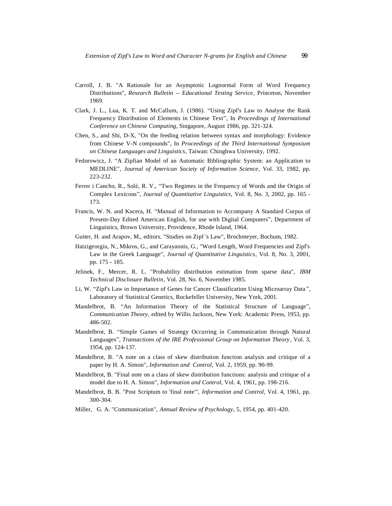- Carroll, J. B. "A Rationale for an Asymptotic Lognormal Form of Word Frequency Distributions", *Research Bulletin -- Educational Testing Service*, Princeton, November 1969.
- Clark, J. L., Lua, K. T. and McCallum, J. (1986). "Using Zipf's Law to Analyse the Rank Frequency Distribution of Elements in Chinese Text", In *Proceedings of International Conference on Chinese Computing*, Singapore, August 1986, pp. 321-324.
- Chen, S., and Shi, D-X, "On the feeding relation between syntax and morphology: Evidence from Chinese V-N compounds", In *Proceedings of the Third International Symposium on Chinese Languages and Linguistics*, Taiwan: Chinghwa University, 1992.
- Fedorowicz, J. "A Zipfian Model of an Automatic Bibliographic System: an Application to MEDLINE", *Journal of American Society of Information Science*, Vol. 33, 1982, pp. 223-232.
- Ferrer i Cancho, R., Solé, R. V., "Two Regimes in the Frequency of Words and the Origin of Complex Lexicons", *Journal of Quantitative Linguistics,* Vol. 8, No. 3, 2002, pp. 165 - 173.
- Francis, W. N. and Kucera, H. "Manual of Information to Accompany A Standard Corpus of Present-Day Edited American English, for use with Digital Computers", Department of Linguistics, Brown University, Providence, Rhode Island, 1964.
- Guiter, H. and Arapov, M., editors. "Studies on Zipf 's Law", Brochmeyer, Bochum, 1982.
- Hatzigeorgiu, N., Mikros, G., and Carayannis, G., "Word Length, Word Frequencies and Zipf's Law in the Greek Language", *Journal of Quantitative Linguistics*, Vol. 8, No. 3, 2001, pp. 175 - 185.
- Jelinek, F., Mercer, R. L. "Probability distribution estimation from sparse data", *IBM Technical Disclosure Bulletin*, Vol. 28, No. 6, November 1985.
- Li, W. "Zipf's Law in Importance of Genes for Cancer Classification Using Microarray Data ", Laboratory of Statistical Genetics, Rockefeller University, New York, 2001.
- Mandelbrot, B. "An Information Theory of the Statistical Structure of Language", *Communication Theory*, edited by Willis Jackson, New York: Academic Press, 1953, pp. 486-502.
- Mandelbrot, B. "Simple Games of Strategy Occurring in Communication through Natural Languages", *Transactions of the IRE Professional Group on Information Theory* , Vol. 3, 1954, pp. 124-137.
- Mandelbrot, B. "A note on a class of skew distribution function analysis and critique of a paper by H. A. Simon", *Information and Control*, Vol. 2, 1959, pp. 90-99.
- Mandelbrot, B. "Final note on a class of skew distribution functions: analysis and critique of a model due to H. A. Simon", *Information and Control*, Vol. 4, 1961, pp. 198-216.
- Mandelbrot, B. B. "Post Scriptum to 'final note'", *Information and Control*, Vol. 4, 1961, pp. 300-304.
- Miller, G. A. "Communication", *Annual Review of Psychology*, 5, 1954, pp. 401-420.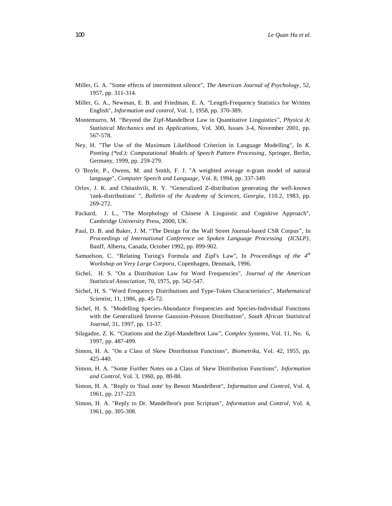- Miller, G. A. "Some effects of intermittent silence", *The American Journal of Psychology*, 52, 1957, pp. 311-314.
- Miller, G. A., Newman, E. B. and Friedman, E. A. "Length-Frequency Statistics for Written English", *Information and control*, Vol. 1, 1958, pp. 370-389.
- Montemurro, M. "Beyond the Zipf-Mandelbrot Law in Quantitative Linguistics", *Physica A*: *Statistical Mechanics and its Applications*, Vol. 300, Issues 3-4, November 2001, pp. 567-578.
- Ney, H. "The Use of the Maximum Likelihood Criterion in Language Modelling", In *K. Ponting (\*ed.): Computational Models of Speech Pattern Processing*, Springer, Berlin, Germany, 1999, pp. 259-279.
- O 'Boyle, P., Owens, M. and Smith, F. J. "A weighted average *n*-gram model of natural language", *Computer Speech and Language*, Vol. 8, 1994, pp. 337-349.
- Orlov, J. K. and Chitashvili, R. Y. "Generalized Z-distribution generating the well-known 'rank-distributions' ", *Bulletin of the Academy of Sciences, Georgia*, 110.2, 1983, pp. 269-272.
- Packard, J. L., "The Morphology of Chinese A Linguistic and Cognitive Approach", Cambridge University Press, 2000, UK.
- Paul, D. B. and Baker, J. M. "The Design for the Wall Street Journal-based CSR Corpus", In *Proceedings of International Conference on Spoken Language Processing (ICSLP)*, Banff, Alberta, Canada, October 1992, pp. 899-902.
- Samuelson, C. "Relating Turing's Formula and Zipf's Law", In *Proceedings of the 4th Workshop on Very Large Corpora*, Copenhagen, Denmark, 1996.
- Sichel, H. S. "On a Distribution Law for Word Frequencies", *Journal of the American Statistical Association*, 70, 1975, pp. 542-547.
- Sichel, H. S. "Word Frequency Distributions and Type-Token Characteristics", *Mathematical Scientist*, 11, 1986, pp. 45-72.
- Sichel, H. S. "Modelling Species-Abundance Frequencies and Species-Individual Functions with the Generalized Inverse Gaussion-Poisson Distribution", *South African Statistical Journal*, 31, 1997, pp. 13-37.
- Silagadze, Z. K. "Citations and the Zipf-Mandelbrot Law", *Complex Systems*, Vol. 11, No. 6, 1997, pp. 487-499.
- Simon, H. A. "On a Class of Skew Distribution Functions", *Biometrika*, Vol. 42, 1955, pp. 425-440.
- Simon, H. A. "Some Further Notes on a Class of Skew Distribution Functions", *Information and Control*, Vol. 3, 1960, pp. 80-88.
- Simon, H. A. "Reply to 'final note' by Benoit Mandelbrot", *Information and Control*, Vol. 4, 1961, pp. 217-223.
- Simon, H. A. "Reply to Dr. Mandelbrot's post Scriptum", *Information and Control*, Vol. 4, 1961, pp. 305-308.